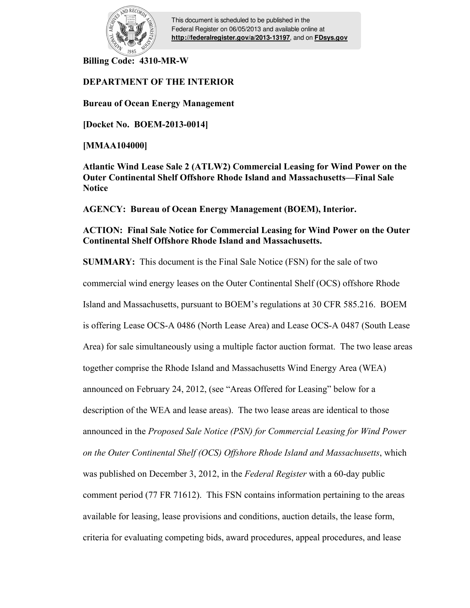

This document is scheduled to be published in the Federal Register on 06/05/2013 and available online at **<http://federalregister.gov/a/2013-13197>**, and on **[FDsys.gov](http://federalregister.gov/a/2013-13197.pdf)**

**Billing Code: 4310-MR-W** 

# **DEPARTMENT OF THE INTERIOR**

**Bureau of Ocean Energy Management** 

**[Docket No. BOEM-2013-0014]** 

**[MMAA104000]** 

**Atlantic Wind Lease Sale 2 (ATLW2) Commercial Leasing for Wind Power on the Outer Continental Shelf Offshore Rhode Island and Massachusetts—Final Sale Notice** 

**AGENCY: Bureau of Ocean Energy Management (BOEM), Interior.** 

# **ACTION: Final Sale Notice for Commercial Leasing for Wind Power on the Outer Continental Shelf Offshore Rhode Island and Massachusetts.**

**SUMMARY:** This document is the Final Sale Notice (FSN) for the sale of two commercial wind energy leases on the Outer Continental Shelf (OCS) offshore Rhode Island and Massachusetts, pursuant to BOEM's regulations at 30 CFR 585.216. BOEM is offering Lease OCS-A 0486 (North Lease Area) and Lease OCS-A 0487 (South Lease Area) for sale simultaneously using a multiple factor auction format. The two lease areas together comprise the Rhode Island and Massachusetts Wind Energy Area (WEA) announced on February 24, 2012, (see "Areas Offered for Leasing" below for a description of the WEA and lease areas). The two lease areas are identical to those announced in the *Proposed Sale Notice (PSN) for Commercial Leasing for Wind Power on the Outer Continental Shelf (OCS) Offshore Rhode Island and Massachusetts*, which was published on December 3, 2012, in the *Federal Register* with a 60-day public comment period (77 FR 71612). This FSN contains information pertaining to the areas available for leasing, lease provisions and conditions, auction details, the lease form, criteria for evaluating competing bids, award procedures, appeal procedures, and lease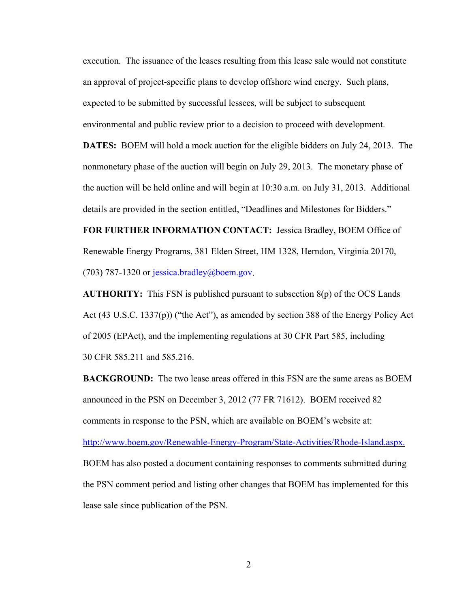execution. The issuance of the leases resulting from this lease sale would not constitute an approval of project-specific plans to develop offshore wind energy. Such plans, expected to be submitted by successful lessees, will be subject to subsequent environmental and public review prior to a decision to proceed with development. **DATES:** BOEM will hold a mock auction for the eligible bidders on July 24, 2013. The nonmonetary phase of the auction will begin on July 29, 2013. The monetary phase of the auction will be held online and will begin at 10:30 a.m. on July 31, 2013. Additional details are provided in the section entitled, "Deadlines and Milestones for Bidders."

**FOR FURTHER INFORMATION CONTACT:** Jessica Bradley, BOEM Office of Renewable Energy Programs, 381 Elden Street, HM 1328, Herndon, Virginia 20170, (703) 787-1320 or jessica.bradley@boem.gov.

**AUTHORITY:** This FSN is published pursuant to subsection 8(p) of the OCS Lands Act (43 U.S.C. 1337(p)) ("the Act"), as amended by section 388 of the Energy Policy Act of 2005 (EPAct), and the implementing regulations at 30 CFR Part 585, including 30 CFR 585.211 and 585.216.

**BACKGROUND:** The two lease areas offered in this FSN are the same areas as BOEM announced in the PSN on December 3, 2012 (77 FR 71612). BOEM received 82 comments in response to the PSN, which are available on BOEM's website at: http://www.boem.gov/Renewable-Energy-Program/State-Activities/Rhode-Island.aspx. BOEM has also posted a document containing responses to comments submitted during the PSN comment period and listing other changes that BOEM has implemented for this lease sale since publication of the PSN.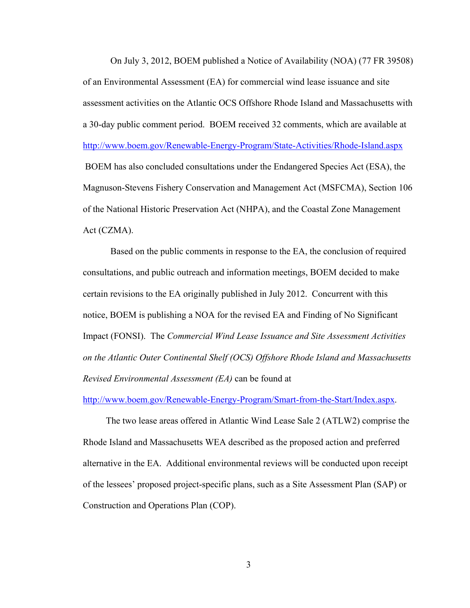On July 3, 2012, BOEM published a Notice of Availability (NOA) (77 FR 39508) of an Environmental Assessment (EA) for commercial wind lease issuance and site assessment activities on the Atlantic OCS Offshore Rhode Island and Massachusetts with a 30-day public comment period. BOEM received 32 comments, which are available at http://www.boem.gov/Renewable-Energy-Program/State-Activities/Rhode-Island.aspx BOEM has also concluded consultations under the Endangered Species Act (ESA), the Magnuson-Stevens Fishery Conservation and Management Act (MSFCMA), Section 106 of the National Historic Preservation Act (NHPA), and the Coastal Zone Management Act (CZMA).

 Based on the public comments in response to the EA, the conclusion of required consultations, and public outreach and information meetings, BOEM decided to make certain revisions to the EA originally published in July 2012. Concurrent with this notice, BOEM is publishing a NOA for the revised EA and Finding of No Significant Impact (FONSI). The *Commercial Wind Lease Issuance and Site Assessment Activities on the Atlantic Outer Continental Shelf (OCS) Offshore Rhode Island and Massachusetts Revised Environmental Assessment (EA)* can be found at

http://www.boem.gov/Renewable-Energy-Program/Smart-from-the-Start/Index.aspx.

 The two lease areas offered in Atlantic Wind Lease Sale 2 (ATLW2) comprise the Rhode Island and Massachusetts WEA described as the proposed action and preferred alternative in the EA. Additional environmental reviews will be conducted upon receipt of the lessees' proposed project-specific plans, such as a Site Assessment Plan (SAP) or Construction and Operations Plan (COP).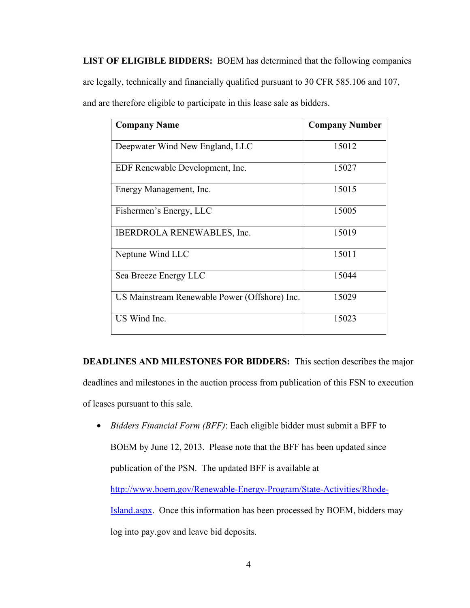**LIST OF ELIGIBLE BIDDERS:** BOEM has determined that the following companies are legally, technically and financially qualified pursuant to 30 CFR 585.106 and 107, and are therefore eligible to participate in this lease sale as bidders.

| <b>Company Name</b>                           | <b>Company Number</b> |
|-----------------------------------------------|-----------------------|
| Deepwater Wind New England, LLC               | 15012                 |
| EDF Renewable Development, Inc.               | 15027                 |
| Energy Management, Inc.                       | 15015                 |
| Fishermen's Energy, LLC                       | 15005                 |
| <b>IBERDROLA RENEWABLES, Inc.</b>             | 15019                 |
| Neptune Wind LLC                              | 15011                 |
| Sea Breeze Energy LLC                         | 15044                 |
| US Mainstream Renewable Power (Offshore) Inc. | 15029                 |
| US Wind Inc.                                  | 15023                 |

**DEADLINES AND MILESTONES FOR BIDDERS:** This section describes the major deadlines and milestones in the auction process from publication of this FSN to execution of leases pursuant to this sale.

• *Bidders Financial Form (BFF)*: Each eligible bidder must submit a BFF to BOEM by June 12, 2013. Please note that the BFF has been updated since publication of the PSN. The updated BFF is available at http://www.boem.gov/Renewable-Energy-Program/State-Activities/Rhode-Island.aspx. Once this information has been processed by BOEM, bidders may log into pay.gov and leave bid deposits.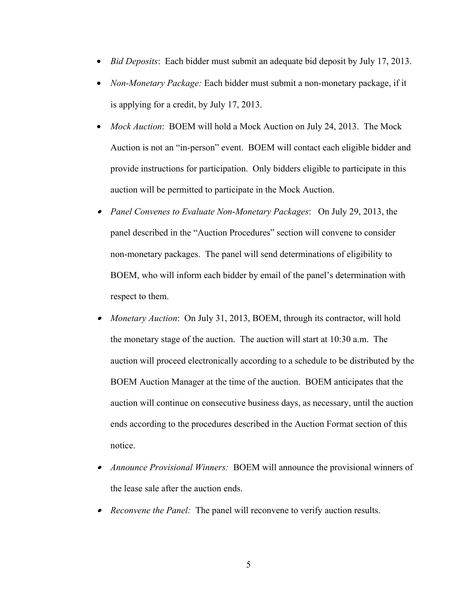- *Bid Deposits*: Each bidder must submit an adequate bid deposit by July 17, 2013.
- *Non-Monetary Package:* Each bidder must submit a non-monetary package, if it is applying for a credit, by July 17, 2013.
- *Mock Auction*: BOEM will hold a Mock Auction on July 24, 2013. The Mock Auction is not an "in-person" event. BOEM will contact each eligible bidder and provide instructions for participation. Only bidders eligible to participate in this auction will be permitted to participate in the Mock Auction.
- *Panel Convenes to Evaluate Non*-*Monetary Packages*: On July 29, 2013, the panel described in the "Auction Procedures" section will convene to consider non-monetary packages. The panel will send determinations of eligibility to BOEM, who will inform each bidder by email of the panel's determination with respect to them.
- *Monetary Auction*: On July 31, 2013, BOEM, through its contractor, will hold the monetary stage of the auction. The auction will start at 10:30 a.m. The auction will proceed electronically according to a schedule to be distributed by the BOEM Auction Manager at the time of the auction. BOEM anticipates that the auction will continue on consecutive business days, as necessary, until the auction ends according to the procedures described in the Auction Format section of this notice.
- • *Announce Provisional Winners:* BOEM will announce the provisional winners of the lease sale after the auction ends.
- *Reconvene the Panel:* The panel will reconvene to verify auction results.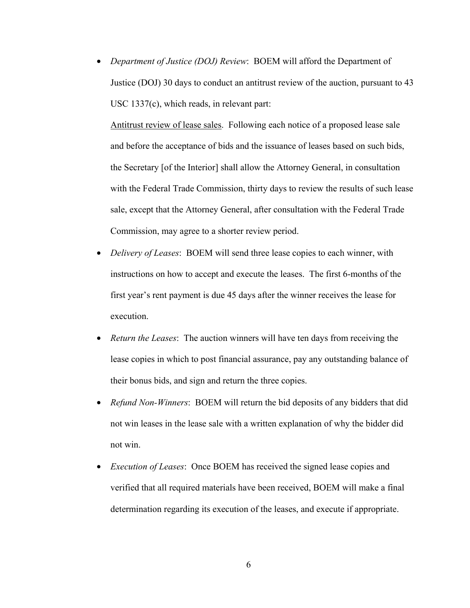• *Department of Justice (DOJ) Review*: BOEM will afford the Department of Justice (DOJ) 30 days to conduct an antitrust review of the auction, pursuant to 43 USC 1337(c), which reads, in relevant part:

Antitrust review of lease sales. Following each notice of a proposed lease sale and before the acceptance of bids and the issuance of leases based on such bids, the Secretary [of the Interior] shall allow the Attorney General, in consultation with the Federal Trade Commission, thirty days to review the results of such lease sale, except that the Attorney General, after consultation with the Federal Trade Commission, may agree to a shorter review period.

- *Delivery of Leases*: BOEM will send three lease copies to each winner, with instructions on how to accept and execute the leases. The first 6-months of the first year's rent payment is due 45 days after the winner receives the lease for execution.
- *Return the Leases*: The auction winners will have ten days from receiving the lease copies in which to post financial assurance, pay any outstanding balance of their bonus bids, and sign and return the three copies.
- *Refund Non-Winners*: BOEM will return the bid deposits of any bidders that did not win leases in the lease sale with a written explanation of why the bidder did not win.
- *Execution of Leases*: Once BOEM has received the signed lease copies and verified that all required materials have been received, BOEM will make a final determination regarding its execution of the leases, and execute if appropriate.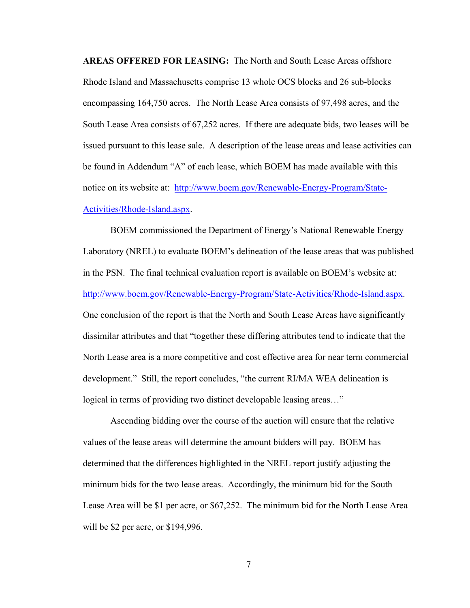**AREAS OFFERED FOR LEASING:** The North and South Lease Areas offshore Rhode Island and Massachusetts comprise 13 whole OCS blocks and 26 sub-blocks encompassing 164,750 acres. The North Lease Area consists of 97,498 acres, and the South Lease Area consists of 67,252 acres. If there are adequate bids, two leases will be issued pursuant to this lease sale. A description of the lease areas and lease activities can be found in Addendum "A" of each lease, which BOEM has made available with this notice on its website at: http://www.boem.gov/Renewable-Energy-Program/State-Activities/Rhode-Island.aspx.

 BOEM commissioned the Department of Energy's National Renewable Energy Laboratory (NREL) to evaluate BOEM's delineation of the lease areas that was published in the PSN. The final technical evaluation report is available on BOEM's website at: http://www.boem.gov/Renewable-Energy-Program/State-Activities/Rhode-Island.aspx. One conclusion of the report is that the North and South Lease Areas have significantly dissimilar attributes and that "together these differing attributes tend to indicate that the North Lease area is a more competitive and cost effective area for near term commercial development." Still, the report concludes, "the current RI/MA WEA delineation is logical in terms of providing two distinct developable leasing areas…"

Ascending bidding over the course of the auction will ensure that the relative values of the lease areas will determine the amount bidders will pay. BOEM has determined that the differences highlighted in the NREL report justify adjusting the minimum bids for the two lease areas. Accordingly, the minimum bid for the South Lease Area will be \$1 per acre, or \$67,252. The minimum bid for the North Lease Area will be \$2 per acre, or \$194,996.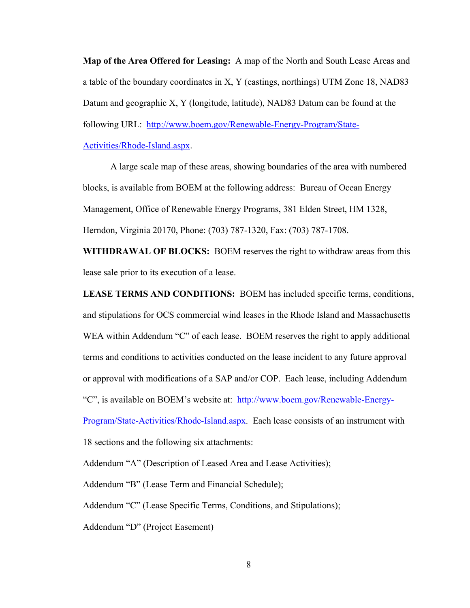**Map of the Area Offered for Leasing:** A map of the North and South Lease Areas and a table of the boundary coordinates in X, Y (eastings, northings) UTM Zone 18, NAD83 Datum and geographic X, Y (longitude, latitude), NAD83 Datum can be found at the following URL: http://www.boem.gov/Renewable-Energy-Program/State-Activities/Rhode-Island.aspx.

A large scale map of these areas, showing boundaries of the area with numbered blocks, is available from BOEM at the following address: Bureau of Ocean Energy Management, Office of Renewable Energy Programs, 381 Elden Street, HM 1328, Herndon, Virginia 20170, Phone: (703) 787-1320, Fax: (703) 787-1708.

**WITHDRAWAL OF BLOCKS:** BOEM reserves the right to withdraw areas from this lease sale prior to its execution of a lease.

**LEASE TERMS AND CONDITIONS:** BOEM has included specific terms, conditions, and stipulations for OCS commercial wind leases in the Rhode Island and Massachusetts WEA within Addendum "C" of each lease. BOEM reserves the right to apply additional terms and conditions to activities conducted on the lease incident to any future approval or approval with modifications of a SAP and/or COP. Each lease, including Addendum "C", is available on BOEM's website at: http://www.boem.gov/Renewable-Energy-

Program/State-Activities/Rhode-Island.aspx. Each lease consists of an instrument with 18 sections and the following six attachments:

Addendum "A" (Description of Leased Area and Lease Activities);

Addendum "B" (Lease Term and Financial Schedule);

Addendum "C" (Lease Specific Terms, Conditions, and Stipulations);

Addendum "D" (Project Easement)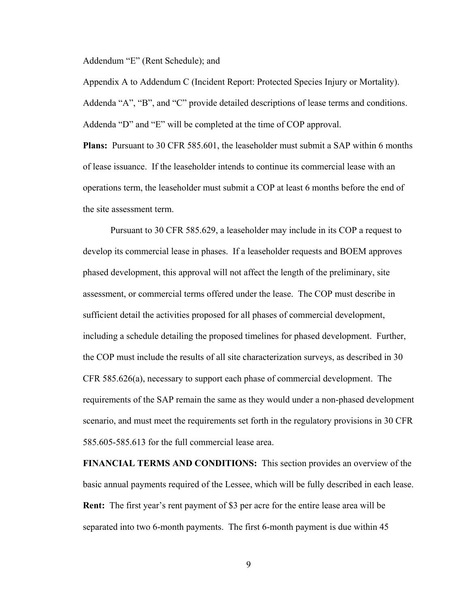Addendum "E" (Rent Schedule); and

Appendix A to Addendum C (Incident Report: Protected Species Injury or Mortality). Addenda "A", "B", and "C" provide detailed descriptions of lease terms and conditions. Addenda "D" and "E" will be completed at the time of COP approval.

**Plans:** Pursuant to 30 CFR 585.601, the leaseholder must submit a SAP within 6 months of lease issuance. If the leaseholder intends to continue its commercial lease with an operations term, the leaseholder must submit a COP at least 6 months before the end of the site assessment term.

Pursuant to 30 CFR 585.629, a leaseholder may include in its COP a request to develop its commercial lease in phases. If a leaseholder requests and BOEM approves phased development, this approval will not affect the length of the preliminary, site assessment, or commercial terms offered under the lease. The COP must describe in sufficient detail the activities proposed for all phases of commercial development, including a schedule detailing the proposed timelines for phased development. Further, the COP must include the results of all site characterization surveys, as described in 30 CFR 585.626(a), necessary to support each phase of commercial development. The requirements of the SAP remain the same as they would under a non-phased development scenario, and must meet the requirements set forth in the regulatory provisions in 30 CFR 585.605-585.613 for the full commercial lease area.

**FINANCIAL TERMS AND CONDITIONS:** This section provides an overview of the basic annual payments required of the Lessee, which will be fully described in each lease. **Rent:** The first year's rent payment of \$3 per acre for the entire lease area will be separated into two 6-month payments. The first 6-month payment is due within 45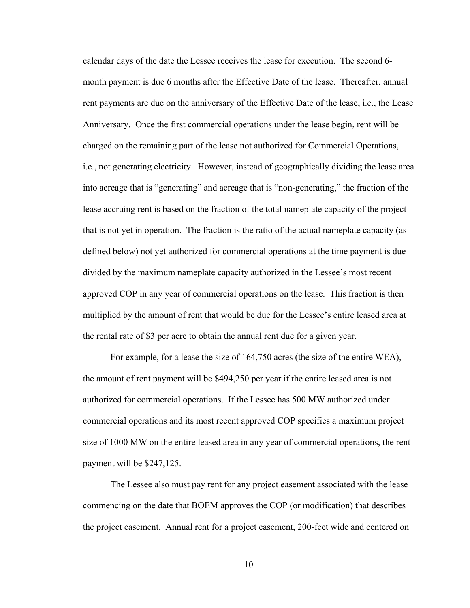calendar days of the date the Lessee receives the lease for execution. The second 6 month payment is due 6 months after the Effective Date of the lease. Thereafter, annual rent payments are due on the anniversary of the Effective Date of the lease, i.e., the Lease Anniversary. Once the first commercial operations under the lease begin, rent will be charged on the remaining part of the lease not authorized for Commercial Operations, i.e., not generating electricity. However, instead of geographically dividing the lease area into acreage that is "generating" and acreage that is "non-generating," the fraction of the lease accruing rent is based on the fraction of the total nameplate capacity of the project that is not yet in operation. The fraction is the ratio of the actual nameplate capacity (as defined below) not yet authorized for commercial operations at the time payment is due divided by the maximum nameplate capacity authorized in the Lessee's most recent approved COP in any year of commercial operations on the lease. This fraction is then multiplied by the amount of rent that would be due for the Lessee's entire leased area at the rental rate of \$3 per acre to obtain the annual rent due for a given year.

 For example, for a lease the size of 164,750 acres (the size of the entire WEA), the amount of rent payment will be \$494,250 per year if the entire leased area is not authorized for commercial operations. If the Lessee has 500 MW authorized under commercial operations and its most recent approved COP specifies a maximum project size of 1000 MW on the entire leased area in any year of commercial operations, the rent payment will be \$247,125.

 The Lessee also must pay rent for any project easement associated with the lease commencing on the date that BOEM approves the COP (or modification) that describes the project easement. Annual rent for a project easement, 200-feet wide and centered on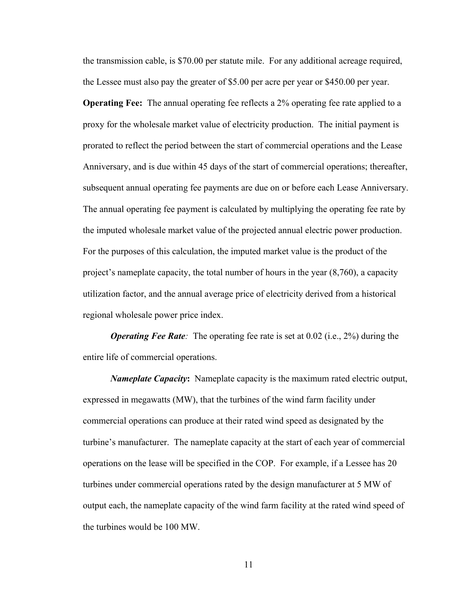the transmission cable, is \$70.00 per statute mile. For any additional acreage required, the Lessee must also pay the greater of \$5.00 per acre per year or \$450.00 per year.

**Operating Fee:** The annual operating fee reflects a 2% operating fee rate applied to a proxy for the wholesale market value of electricity production. The initial payment is prorated to reflect the period between the start of commercial operations and the Lease Anniversary, and is due within 45 days of the start of commercial operations; thereafter, subsequent annual operating fee payments are due on or before each Lease Anniversary. The annual operating fee payment is calculated by multiplying the operating fee rate by the imputed wholesale market value of the projected annual electric power production. For the purposes of this calculation, the imputed market value is the product of the project's nameplate capacity, the total number of hours in the year (8,760), a capacity utilization factor, and the annual average price of electricity derived from a historical regional wholesale power price index.

*Operating Fee Rate:* The operating fee rate is set at 0.02 (i.e., 2%) during the entire life of commercial operations.

*Nameplate Capacity***:** Nameplate capacity is the maximum rated electric output, expressed in megawatts (MW), that the turbines of the wind farm facility under commercial operations can produce at their rated wind speed as designated by the turbine's manufacturer. The nameplate capacity at the start of each year of commercial operations on the lease will be specified in the COP. For example, if a Lessee has 20 turbines under commercial operations rated by the design manufacturer at 5 MW of output each, the nameplate capacity of the wind farm facility at the rated wind speed of the turbines would be 100 MW.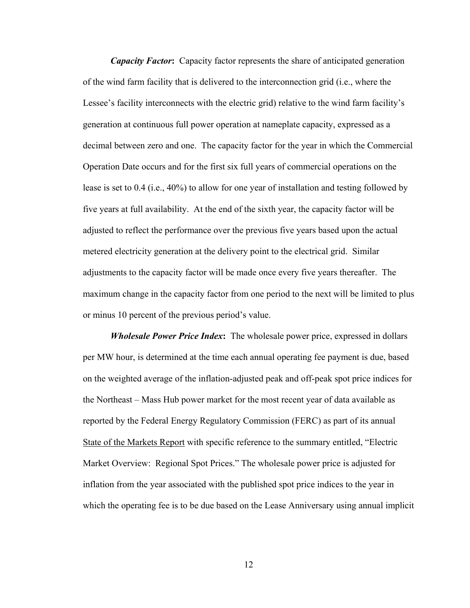*Capacity Factor***:** Capacity factor represents the share of anticipated generation of the wind farm facility that is delivered to the interconnection grid (i.e., where the Lessee's facility interconnects with the electric grid) relative to the wind farm facility's generation at continuous full power operation at nameplate capacity, expressed as a decimal between zero and one. The capacity factor for the year in which the Commercial Operation Date occurs and for the first six full years of commercial operations on the lease is set to 0.4 (i.e., 40%) to allow for one year of installation and testing followed by five years at full availability. At the end of the sixth year, the capacity factor will be adjusted to reflect the performance over the previous five years based upon the actual metered electricity generation at the delivery point to the electrical grid. Similar adjustments to the capacity factor will be made once every five years thereafter. The maximum change in the capacity factor from one period to the next will be limited to plus or minus 10 percent of the previous period's value.

*Wholesale Power Price Index***:** The wholesale power price, expressed in dollars per MW hour, is determined at the time each annual operating fee payment is due, based on the weighted average of the inflation-adjusted peak and off-peak spot price indices for the Northeast – Mass Hub power market for the most recent year of data available as reported by the Federal Energy Regulatory Commission (FERC) as part of its annual State of the Markets Report with specific reference to the summary entitled, "Electric Market Overview: Regional Spot Prices." The wholesale power price is adjusted for inflation from the year associated with the published spot price indices to the year in which the operating fee is to be due based on the Lease Anniversary using annual implicit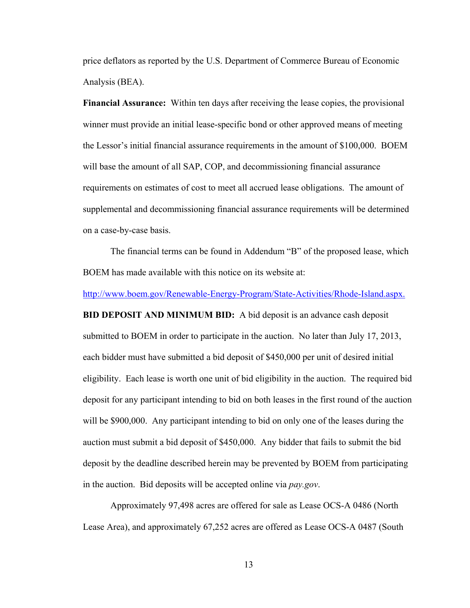price deflators as reported by the U.S. Department of Commerce Bureau of Economic Analysis (BEA).

**Financial Assurance:** Within ten days after receiving the lease copies, the provisional winner must provide an initial lease-specific bond or other approved means of meeting the Lessor's initial financial assurance requirements in the amount of \$100,000. BOEM will base the amount of all SAP, COP, and decommissioning financial assurance requirements on estimates of cost to meet all accrued lease obligations. The amount of supplemental and decommissioning financial assurance requirements will be determined on a case-by-case basis.

The financial terms can be found in Addendum "B" of the proposed lease, which BOEM has made available with this notice on its website at:

http://www.boem.gov/Renewable-Energy-Program/State-Activities/Rhode-Island.aspx.

**BID DEPOSIT AND MINIMUM BID:** A bid deposit is an advance cash deposit submitted to BOEM in order to participate in the auction. No later than July 17, 2013, each bidder must have submitted a bid deposit of \$450,000 per unit of desired initial eligibility. Each lease is worth one unit of bid eligibility in the auction. The required bid deposit for any participant intending to bid on both leases in the first round of the auction will be \$900,000. Any participant intending to bid on only one of the leases during the auction must submit a bid deposit of \$450,000. Any bidder that fails to submit the bid deposit by the deadline described herein may be prevented by BOEM from participating in the auction. Bid deposits will be accepted online via *pay.gov*.

Approximately 97,498 acres are offered for sale as Lease OCS-A 0486 (North Lease Area), and approximately 67,252 acres are offered as Lease OCS-A 0487 (South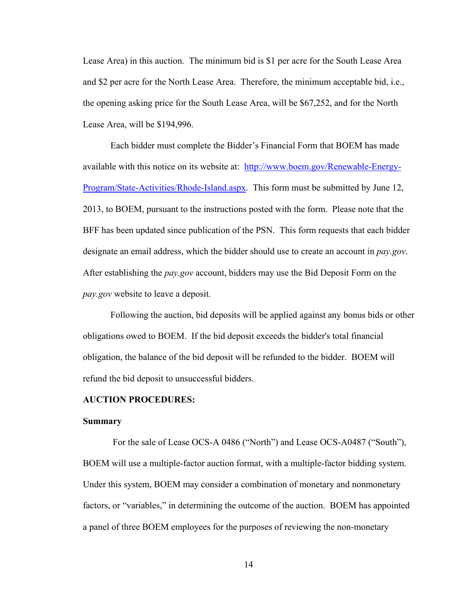Lease Area) in this auction. The minimum bid is \$1 per acre for the South Lease Area and \$2 per acre for the North Lease Area. Therefore, the minimum acceptable bid, i.e., the opening asking price for the South Lease Area, will be \$67,252, and for the North Lease Area, will be \$194,996.

 Each bidder must complete the Bidder's Financial Form that BOEM has made available with this notice on its website at: http://www.boem.gov/Renewable-Energy-Program/State-Activities/Rhode-Island.aspx. This form must be submitted by June 12, 2013, to BOEM, pursuant to the instructions posted with the form. Please note that the BFF has been updated since publication of the PSN. This form requests that each bidder designate an email address, which the bidder should use to create an account in *pay.gov*. After establishing the *pay.gov* account, bidders may use the Bid Deposit Form on the *pay.gov* website to leave a deposit.

Following the auction, bid deposits will be applied against any bonus bids or other obligations owed to BOEM. If the bid deposit exceeds the bidder's total financial obligation, the balance of the bid deposit will be refunded to the bidder. BOEM will refund the bid deposit to unsuccessful bidders.

#### **AUCTION PROCEDURES:**

#### **Summary**

For the sale of Lease OCS-A 0486 ("North") and Lease OCS-A0487 ("South"), BOEM will use a multiple-factor auction format, with a multiple-factor bidding system. Under this system, BOEM may consider a combination of monetary and nonmonetary factors, or "variables," in determining the outcome of the auction. BOEM has appointed a panel of three BOEM employees for the purposes of reviewing the non-monetary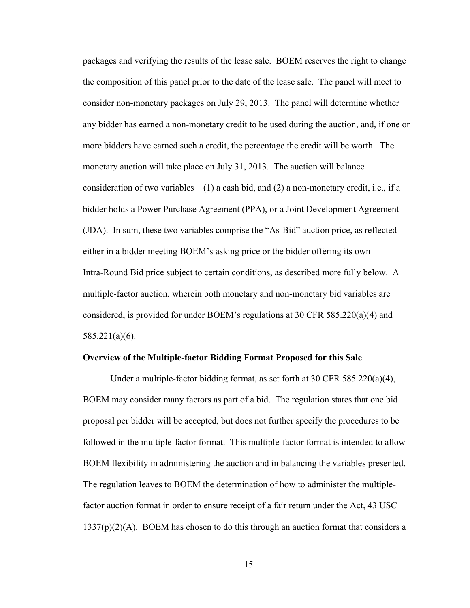packages and verifying the results of the lease sale. BOEM reserves the right to change the composition of this panel prior to the date of the lease sale. The panel will meet to consider non-monetary packages on July 29, 2013. The panel will determine whether any bidder has earned a non-monetary credit to be used during the auction, and, if one or more bidders have earned such a credit, the percentage the credit will be worth. The monetary auction will take place on July 31, 2013. The auction will balance consideration of two variables  $- (1)$  a cash bid, and (2) a non-monetary credit, i.e., if a bidder holds a Power Purchase Agreement (PPA), or a Joint Development Agreement (JDA). In sum, these two variables comprise the "As-Bid" auction price, as reflected either in a bidder meeting BOEM's asking price or the bidder offering its own Intra-Round Bid price subject to certain conditions, as described more fully below. A multiple-factor auction, wherein both monetary and non-monetary bid variables are considered, is provided for under BOEM's regulations at 30 CFR 585.220(a)(4) and 585.221(a)(6).

#### **Overview of the Multiple-factor Bidding Format Proposed for this Sale**

 Under a multiple-factor bidding format, as set forth at 30 CFR 585.220(a)(4), BOEM may consider many factors as part of a bid. The regulation states that one bid proposal per bidder will be accepted, but does not further specify the procedures to be followed in the multiple-factor format. This multiple-factor format is intended to allow BOEM flexibility in administering the auction and in balancing the variables presented. The regulation leaves to BOEM the determination of how to administer the multiplefactor auction format in order to ensure receipt of a fair return under the Act, 43 USC  $1337(p)(2)(A)$ . BOEM has chosen to do this through an auction format that considers a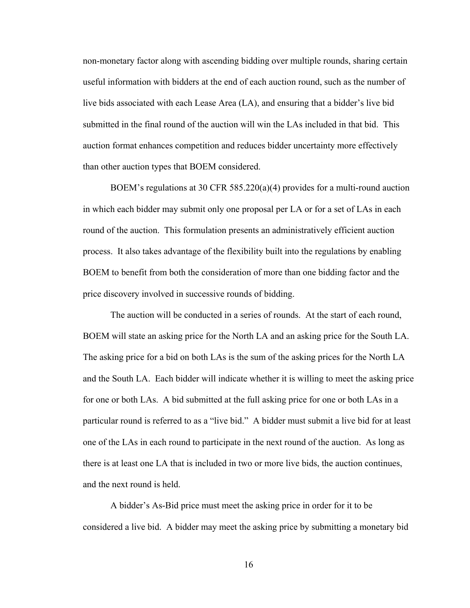non-monetary factor along with ascending bidding over multiple rounds, sharing certain useful information with bidders at the end of each auction round, such as the number of live bids associated with each Lease Area (LA), and ensuring that a bidder's live bid submitted in the final round of the auction will win the LAs included in that bid. This auction format enhances competition and reduces bidder uncertainty more effectively than other auction types that BOEM considered.

BOEM's regulations at 30 CFR 585.220(a)(4) provides for a multi-round auction in which each bidder may submit only one proposal per LA or for a set of LAs in each round of the auction. This formulation presents an administratively efficient auction process. It also takes advantage of the flexibility built into the regulations by enabling BOEM to benefit from both the consideration of more than one bidding factor and the price discovery involved in successive rounds of bidding.

The auction will be conducted in a series of rounds. At the start of each round, BOEM will state an asking price for the North LA and an asking price for the South LA. The asking price for a bid on both LAs is the sum of the asking prices for the North LA and the South LA. Each bidder will indicate whether it is willing to meet the asking price for one or both LAs. A bid submitted at the full asking price for one or both LAs in a particular round is referred to as a "live bid." A bidder must submit a live bid for at least one of the LAs in each round to participate in the next round of the auction. As long as there is at least one LA that is included in two or more live bids, the auction continues, and the next round is held.

A bidder's As-Bid price must meet the asking price in order for it to be considered a live bid. A bidder may meet the asking price by submitting a monetary bid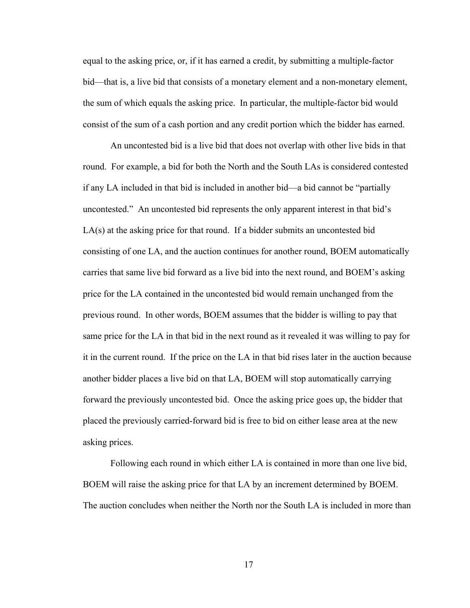equal to the asking price, or, if it has earned a credit, by submitting a multiple-factor bid—that is, a live bid that consists of a monetary element and a non-monetary element, the sum of which equals the asking price. In particular, the multiple-factor bid would consist of the sum of a cash portion and any credit portion which the bidder has earned.

An uncontested bid is a live bid that does not overlap with other live bids in that round. For example, a bid for both the North and the South LAs is considered contested if any LA included in that bid is included in another bid—a bid cannot be "partially uncontested." An uncontested bid represents the only apparent interest in that bid's LA(s) at the asking price for that round. If a bidder submits an uncontested bid consisting of one LA, and the auction continues for another round, BOEM automatically carries that same live bid forward as a live bid into the next round, and BOEM's asking price for the LA contained in the uncontested bid would remain unchanged from the previous round. In other words, BOEM assumes that the bidder is willing to pay that same price for the LA in that bid in the next round as it revealed it was willing to pay for it in the current round. If the price on the LA in that bid rises later in the auction because another bidder places a live bid on that LA, BOEM will stop automatically carrying forward the previously uncontested bid. Once the asking price goes up, the bidder that placed the previously carried-forward bid is free to bid on either lease area at the new asking prices.

Following each round in which either LA is contained in more than one live bid, BOEM will raise the asking price for that LA by an increment determined by BOEM. The auction concludes when neither the North nor the South LA is included in more than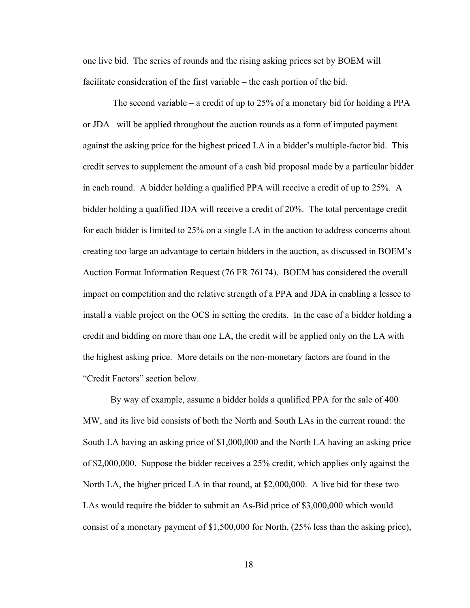one live bid. The series of rounds and the rising asking prices set by BOEM will facilitate consideration of the first variable – the cash portion of the bid.

 The second variable – a credit of up to 25% of a monetary bid for holding a PPA or JDA– will be applied throughout the auction rounds as a form of imputed payment against the asking price for the highest priced LA in a bidder's multiple-factor bid. This credit serves to supplement the amount of a cash bid proposal made by a particular bidder in each round. A bidder holding a qualified PPA will receive a credit of up to 25%. A bidder holding a qualified JDA will receive a credit of 20%. The total percentage credit for each bidder is limited to 25% on a single LA in the auction to address concerns about creating too large an advantage to certain bidders in the auction, as discussed in BOEM's Auction Format Information Request (76 FR 76174). BOEM has considered the overall impact on competition and the relative strength of a PPA and JDA in enabling a lessee to install a viable project on the OCS in setting the credits. In the case of a bidder holding a credit and bidding on more than one LA, the credit will be applied only on the LA with the highest asking price. More details on the non-monetary factors are found in the "Credit Factors" section below.

By way of example, assume a bidder holds a qualified PPA for the sale of 400 MW, and its live bid consists of both the North and South LAs in the current round: the South LA having an asking price of \$1,000,000 and the North LA having an asking price of \$2,000,000. Suppose the bidder receives a 25% credit, which applies only against the North LA, the higher priced LA in that round, at \$2,000,000. A live bid for these two LAs would require the bidder to submit an As-Bid price of \$3,000,000 which would consist of a monetary payment of \$1,500,000 for North, (25% less than the asking price),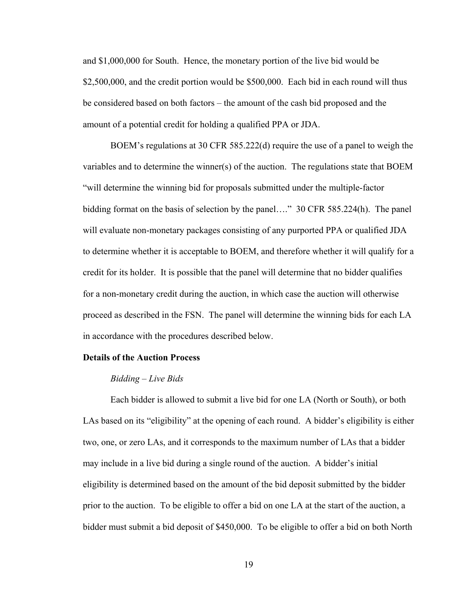and \$1,000,000 for South. Hence, the monetary portion of the live bid would be \$2,500,000, and the credit portion would be \$500,000. Each bid in each round will thus be considered based on both factors – the amount of the cash bid proposed and the amount of a potential credit for holding a qualified PPA or JDA.

BOEM's regulations at 30 CFR 585.222(d) require the use of a panel to weigh the variables and to determine the winner(s) of the auction. The regulations state that BOEM "will determine the winning bid for proposals submitted under the multiple-factor bidding format on the basis of selection by the panel…." 30 CFR 585.224(h). The panel will evaluate non-monetary packages consisting of any purported PPA or qualified JDA to determine whether it is acceptable to BOEM, and therefore whether it will qualify for a credit for its holder. It is possible that the panel will determine that no bidder qualifies for a non-monetary credit during the auction, in which case the auction will otherwise proceed as described in the FSN. The panel will determine the winning bids for each LA in accordance with the procedures described below.

#### **Details of the Auction Process**

#### *Bidding – Live Bids*

Each bidder is allowed to submit a live bid for one LA (North or South), or both LAs based on its "eligibility" at the opening of each round. A bidder's eligibility is either two, one, or zero LAs, and it corresponds to the maximum number of LAs that a bidder may include in a live bid during a single round of the auction. A bidder's initial eligibility is determined based on the amount of the bid deposit submitted by the bidder prior to the auction. To be eligible to offer a bid on one LA at the start of the auction, a bidder must submit a bid deposit of \$450,000. To be eligible to offer a bid on both North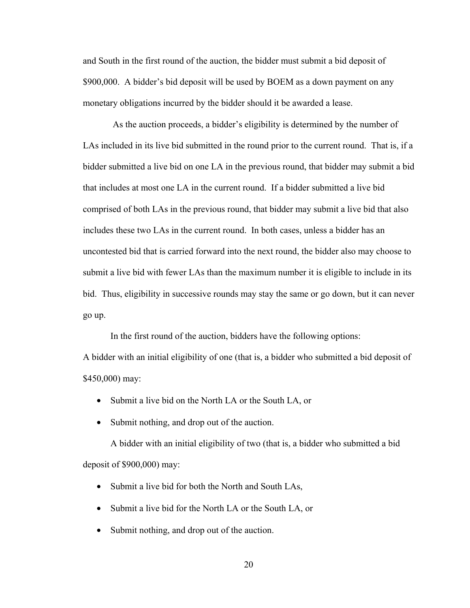and South in the first round of the auction, the bidder must submit a bid deposit of \$900,000. A bidder's bid deposit will be used by BOEM as a down payment on any monetary obligations incurred by the bidder should it be awarded a lease.

 As the auction proceeds, a bidder's eligibility is determined by the number of LAs included in its live bid submitted in the round prior to the current round. That is, if a bidder submitted a live bid on one LA in the previous round, that bidder may submit a bid that includes at most one LA in the current round. If a bidder submitted a live bid comprised of both LAs in the previous round, that bidder may submit a live bid that also includes these two LAs in the current round. In both cases, unless a bidder has an uncontested bid that is carried forward into the next round, the bidder also may choose to submit a live bid with fewer LAs than the maximum number it is eligible to include in its bid. Thus, eligibility in successive rounds may stay the same or go down, but it can never go up.

In the first round of the auction, bidders have the following options:

A bidder with an initial eligibility of one (that is, a bidder who submitted a bid deposit of \$450,000) may:

- Submit a live bid on the North LA or the South LA, or
- Submit nothing, and drop out of the auction.

A bidder with an initial eligibility of two (that is, a bidder who submitted a bid deposit of \$900,000) may:

- Submit a live bid for both the North and South LAs,
- Submit a live bid for the North LA or the South LA, or
- Submit nothing, and drop out of the auction.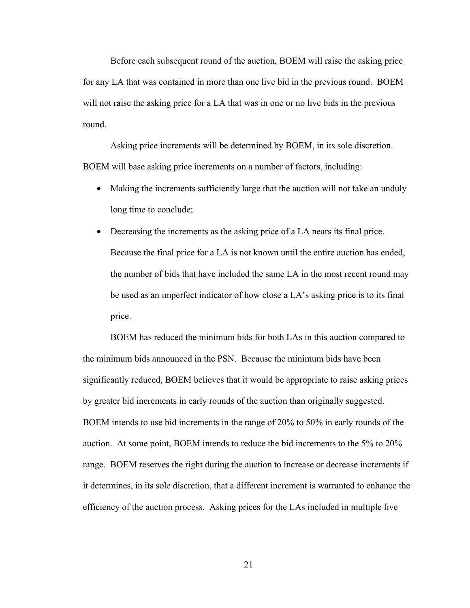Before each subsequent round of the auction, BOEM will raise the asking price for any LA that was contained in more than one live bid in the previous round. BOEM will not raise the asking price for a LA that was in one or no live bids in the previous round.

Asking price increments will be determined by BOEM, in its sole discretion. BOEM will base asking price increments on a number of factors, including:

- Making the increments sufficiently large that the auction will not take an unduly long time to conclude;
- Decreasing the increments as the asking price of a LA nears its final price. Because the final price for a LA is not known until the entire auction has ended, the number of bids that have included the same LA in the most recent round may be used as an imperfect indicator of how close a LA's asking price is to its final price.

BOEM has reduced the minimum bids for both LAs in this auction compared to the minimum bids announced in the PSN. Because the minimum bids have been significantly reduced, BOEM believes that it would be appropriate to raise asking prices by greater bid increments in early rounds of the auction than originally suggested. BOEM intends to use bid increments in the range of 20% to 50% in early rounds of the auction. At some point, BOEM intends to reduce the bid increments to the 5% to 20% range. BOEM reserves the right during the auction to increase or decrease increments if it determines, in its sole discretion, that a different increment is warranted to enhance the efficiency of the auction process. Asking prices for the LAs included in multiple live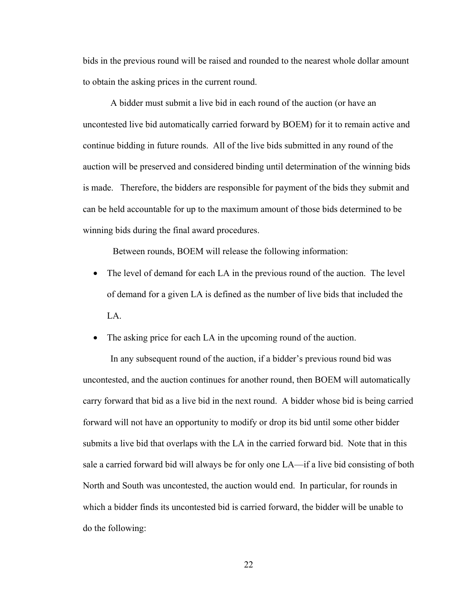bids in the previous round will be raised and rounded to the nearest whole dollar amount to obtain the asking prices in the current round.

A bidder must submit a live bid in each round of the auction (or have an uncontested live bid automatically carried forward by BOEM) for it to remain active and continue bidding in future rounds. All of the live bids submitted in any round of the auction will be preserved and considered binding until determination of the winning bids is made. Therefore, the bidders are responsible for payment of the bids they submit and can be held accountable for up to the maximum amount of those bids determined to be winning bids during the final award procedures.

Between rounds, BOEM will release the following information:

• The level of demand for each LA in the previous round of the auction. The level of demand for a given LA is defined as the number of live bids that included the LA.

• The asking price for each LA in the upcoming round of the auction.

 In any subsequent round of the auction, if a bidder's previous round bid was uncontested, and the auction continues for another round, then BOEM will automatically carry forward that bid as a live bid in the next round. A bidder whose bid is being carried forward will not have an opportunity to modify or drop its bid until some other bidder submits a live bid that overlaps with the LA in the carried forward bid. Note that in this sale a carried forward bid will always be for only one LA—if a live bid consisting of both North and South was uncontested, the auction would end. In particular, for rounds in which a bidder finds its uncontested bid is carried forward, the bidder will be unable to do the following: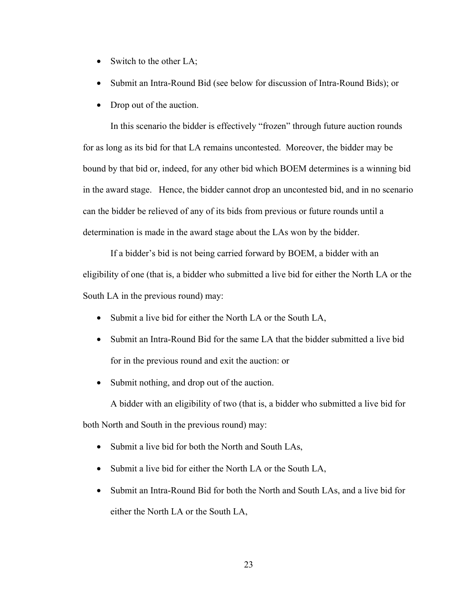- Switch to the other LA;
- Submit an Intra-Round Bid (see below for discussion of Intra-Round Bids); or
- Drop out of the auction.

In this scenario the bidder is effectively "frozen" through future auction rounds for as long as its bid for that LA remains uncontested. Moreover, the bidder may be bound by that bid or, indeed, for any other bid which BOEM determines is a winning bid in the award stage. Hence, the bidder cannot drop an uncontested bid, and in no scenario can the bidder be relieved of any of its bids from previous or future rounds until a determination is made in the award stage about the LAs won by the bidder.

 If a bidder's bid is not being carried forward by BOEM, a bidder with an eligibility of one (that is, a bidder who submitted a live bid for either the North LA or the South LA in the previous round) may:

- Submit a live bid for either the North LA or the South LA,
- Submit an Intra-Round Bid for the same LA that the bidder submitted a live bid for in the previous round and exit the auction: or
- Submit nothing, and drop out of the auction.

A bidder with an eligibility of two (that is, a bidder who submitted a live bid for both North and South in the previous round) may:

- Submit a live bid for both the North and South LAs,
- Submit a live bid for either the North LA or the South LA,
- Submit an Intra-Round Bid for both the North and South LAs, and a live bid for either the North LA or the South LA,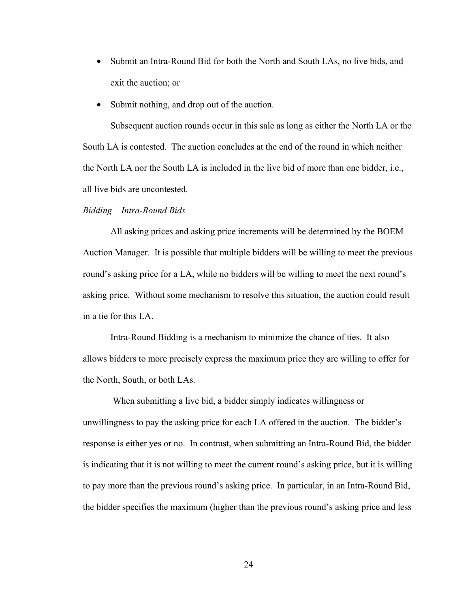- Submit an Intra-Round Bid for both the North and South LAs, no live bids, and exit the auction; or
- Submit nothing, and drop out of the auction.

Subsequent auction rounds occur in this sale as long as either the North LA or the South LA is contested. The auction concludes at the end of the round in which neither the North LA nor the South LA is included in the live bid of more than one bidder, i.e., all live bids are uncontested.

## *Bidding – Intra-Round Bids*

All asking prices and asking price increments will be determined by the BOEM Auction Manager. It is possible that multiple bidders will be willing to meet the previous round's asking price for a LA, while no bidders will be willing to meet the next round's asking price. Without some mechanism to resolve this situation, the auction could result in a tie for this LA.

Intra-Round Bidding is a mechanism to minimize the chance of ties. It also allows bidders to more precisely express the maximum price they are willing to offer for the North, South, or both LAs.

 When submitting a live bid, a bidder simply indicates willingness or unwillingness to pay the asking price for each LA offered in the auction. The bidder's response is either yes or no. In contrast, when submitting an Intra-Round Bid, the bidder is indicating that it is not willing to meet the current round's asking price, but it is willing to pay more than the previous round's asking price. In particular, in an Intra-Round Bid, the bidder specifies the maximum (higher than the previous round's asking price and less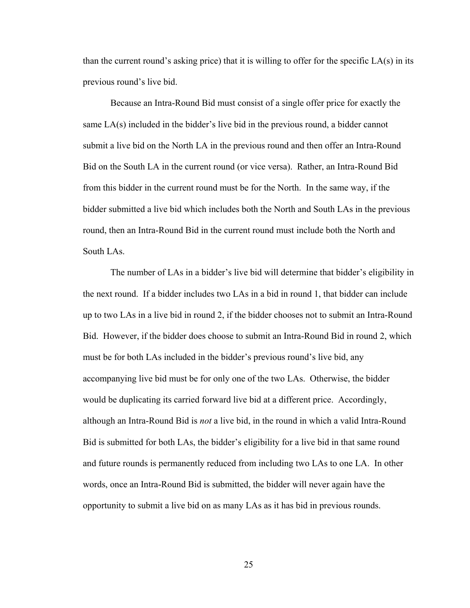than the current round's asking price) that it is willing to offer for the specific LA(s) in its previous round's live bid.

Because an Intra-Round Bid must consist of a single offer price for exactly the same LA(s) included in the bidder's live bid in the previous round, a bidder cannot submit a live bid on the North LA in the previous round and then offer an Intra-Round Bid on the South LA in the current round (or vice versa). Rather, an Intra-Round Bid from this bidder in the current round must be for the North. In the same way, if the bidder submitted a live bid which includes both the North and South LAs in the previous round, then an Intra-Round Bid in the current round must include both the North and South LAs.

The number of LAs in a bidder's live bid will determine that bidder's eligibility in the next round. If a bidder includes two LAs in a bid in round 1, that bidder can include up to two LAs in a live bid in round 2, if the bidder chooses not to submit an Intra-Round Bid. However, if the bidder does choose to submit an Intra-Round Bid in round 2, which must be for both LAs included in the bidder's previous round's live bid, any accompanying live bid must be for only one of the two LAs. Otherwise, the bidder would be duplicating its carried forward live bid at a different price. Accordingly, although an Intra-Round Bid is *not* a live bid, in the round in which a valid Intra-Round Bid is submitted for both LAs, the bidder's eligibility for a live bid in that same round and future rounds is permanently reduced from including two LAs to one LA. In other words, once an Intra-Round Bid is submitted, the bidder will never again have the opportunity to submit a live bid on as many LAs as it has bid in previous rounds.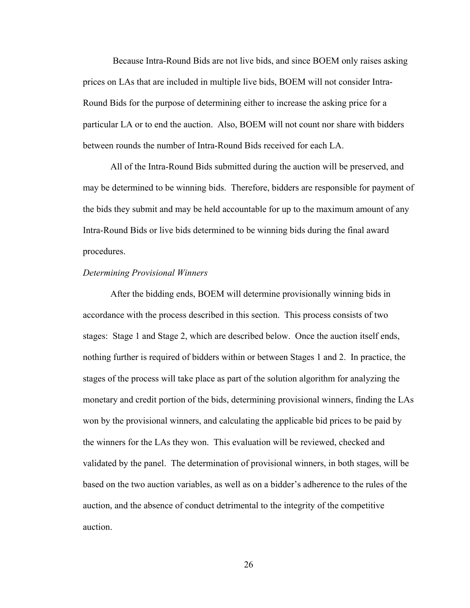Because Intra-Round Bids are not live bids, and since BOEM only raises asking prices on LAs that are included in multiple live bids, BOEM will not consider Intra-Round Bids for the purpose of determining either to increase the asking price for a particular LA or to end the auction. Also, BOEM will not count nor share with bidders between rounds the number of Intra-Round Bids received for each LA.

All of the Intra-Round Bids submitted during the auction will be preserved, and may be determined to be winning bids. Therefore, bidders are responsible for payment of the bids they submit and may be held accountable for up to the maximum amount of any Intra-Round Bids or live bids determined to be winning bids during the final award procedures.

#### *Determining Provisional Winners*

After the bidding ends, BOEM will determine provisionally winning bids in accordance with the process described in this section. This process consists of two stages: Stage 1 and Stage 2, which are described below. Once the auction itself ends, nothing further is required of bidders within or between Stages 1 and 2. In practice, the stages of the process will take place as part of the solution algorithm for analyzing the monetary and credit portion of the bids, determining provisional winners, finding the LAs won by the provisional winners, and calculating the applicable bid prices to be paid by the winners for the LAs they won. This evaluation will be reviewed, checked and validated by the panel. The determination of provisional winners, in both stages, will be based on the two auction variables, as well as on a bidder's adherence to the rules of the auction, and the absence of conduct detrimental to the integrity of the competitive auction.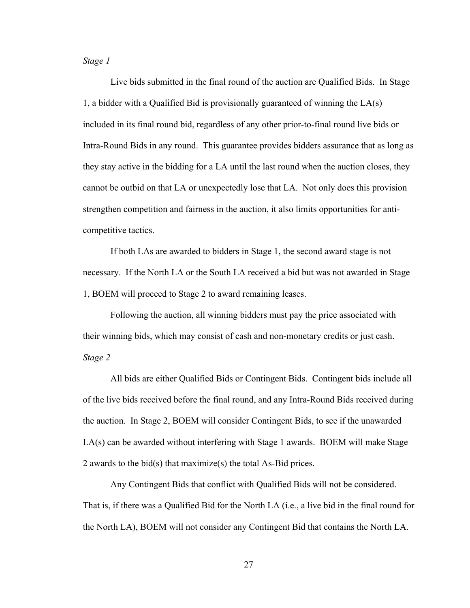*Stage 1* 

 Live bids submitted in the final round of the auction are Qualified Bids. In Stage 1, a bidder with a Qualified Bid is provisionally guaranteed of winning the LA(s) included in its final round bid, regardless of any other prior-to-final round live bids or Intra-Round Bids in any round. This guarantee provides bidders assurance that as long as they stay active in the bidding for a LA until the last round when the auction closes, they cannot be outbid on that LA or unexpectedly lose that LA. Not only does this provision strengthen competition and fairness in the auction, it also limits opportunities for anticompetitive tactics.

If both LAs are awarded to bidders in Stage 1, the second award stage is not necessary. If the North LA or the South LA received a bid but was not awarded in Stage 1, BOEM will proceed to Stage 2 to award remaining leases.

Following the auction, all winning bidders must pay the price associated with their winning bids, which may consist of cash and non-monetary credits or just cash. *Stage 2* 

All bids are either Qualified Bids or Contingent Bids. Contingent bids include all of the live bids received before the final round, and any Intra-Round Bids received during the auction. In Stage 2, BOEM will consider Contingent Bids, to see if the unawarded LA(s) can be awarded without interfering with Stage 1 awards. BOEM will make Stage 2 awards to the bid(s) that maximize(s) the total As-Bid prices.

Any Contingent Bids that conflict with Qualified Bids will not be considered. That is, if there was a Qualified Bid for the North LA (i.e., a live bid in the final round for the North LA), BOEM will not consider any Contingent Bid that contains the North LA.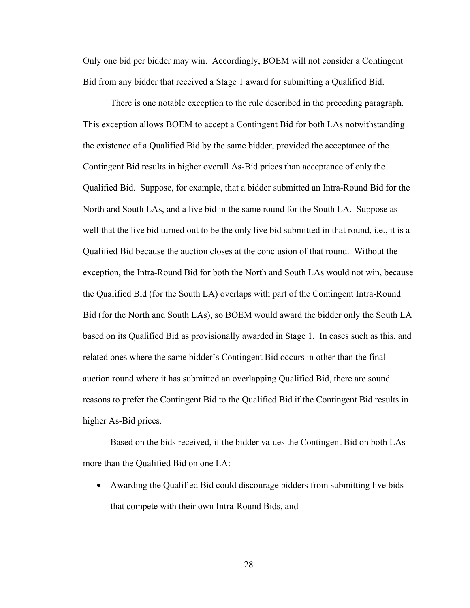Only one bid per bidder may win. Accordingly, BOEM will not consider a Contingent Bid from any bidder that received a Stage 1 award for submitting a Qualified Bid.

There is one notable exception to the rule described in the preceding paragraph. This exception allows BOEM to accept a Contingent Bid for both LAs notwithstanding the existence of a Qualified Bid by the same bidder, provided the acceptance of the Contingent Bid results in higher overall As-Bid prices than acceptance of only the Qualified Bid. Suppose, for example, that a bidder submitted an Intra-Round Bid for the North and South LAs, and a live bid in the same round for the South LA. Suppose as well that the live bid turned out to be the only live bid submitted in that round, i.e., it is a Qualified Bid because the auction closes at the conclusion of that round. Without the exception, the Intra-Round Bid for both the North and South LAs would not win, because the Qualified Bid (for the South LA) overlaps with part of the Contingent Intra-Round Bid (for the North and South LAs), so BOEM would award the bidder only the South LA based on its Qualified Bid as provisionally awarded in Stage 1. In cases such as this, and related ones where the same bidder's Contingent Bid occurs in other than the final auction round where it has submitted an overlapping Qualified Bid, there are sound reasons to prefer the Contingent Bid to the Qualified Bid if the Contingent Bid results in higher As-Bid prices.

Based on the bids received, if the bidder values the Contingent Bid on both LAs more than the Qualified Bid on one LA:

• Awarding the Qualified Bid could discourage bidders from submitting live bids that compete with their own Intra-Round Bids, and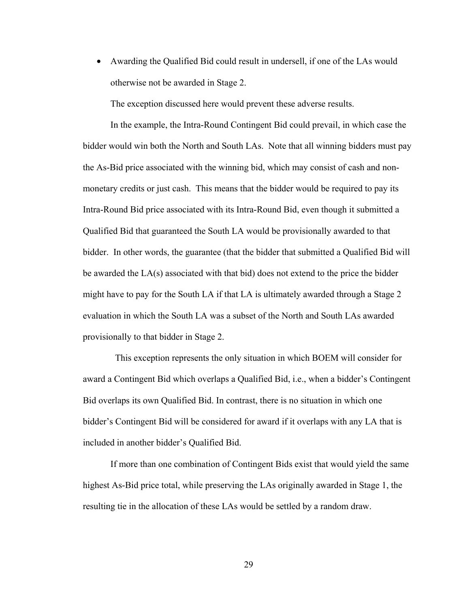• Awarding the Qualified Bid could result in undersell, if one of the LAs would otherwise not be awarded in Stage 2.

The exception discussed here would prevent these adverse results.

In the example, the Intra-Round Contingent Bid could prevail, in which case the bidder would win both the North and South LAs. Note that all winning bidders must pay the As-Bid price associated with the winning bid, which may consist of cash and nonmonetary credits or just cash. This means that the bidder would be required to pay its Intra-Round Bid price associated with its Intra-Round Bid, even though it submitted a Qualified Bid that guaranteed the South LA would be provisionally awarded to that bidder. In other words, the guarantee (that the bidder that submitted a Qualified Bid will be awarded the LA(s) associated with that bid) does not extend to the price the bidder might have to pay for the South LA if that LA is ultimately awarded through a Stage 2 evaluation in which the South LA was a subset of the North and South LAs awarded provisionally to that bidder in Stage 2.

 This exception represents the only situation in which BOEM will consider for award a Contingent Bid which overlaps a Qualified Bid, i.e., when a bidder's Contingent Bid overlaps its own Qualified Bid. In contrast, there is no situation in which one bidder's Contingent Bid will be considered for award if it overlaps with any LA that is included in another bidder's Qualified Bid.

If more than one combination of Contingent Bids exist that would yield the same highest As-Bid price total, while preserving the LAs originally awarded in Stage 1, the resulting tie in the allocation of these LAs would be settled by a random draw.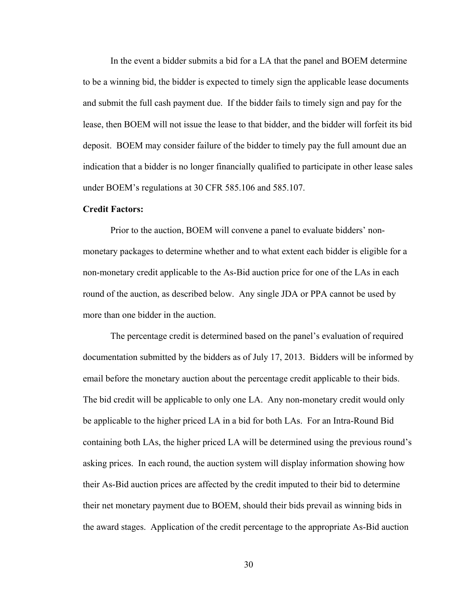In the event a bidder submits a bid for a LA that the panel and BOEM determine to be a winning bid, the bidder is expected to timely sign the applicable lease documents and submit the full cash payment due. If the bidder fails to timely sign and pay for the lease, then BOEM will not issue the lease to that bidder, and the bidder will forfeit its bid deposit. BOEM may consider failure of the bidder to timely pay the full amount due an indication that a bidder is no longer financially qualified to participate in other lease sales under BOEM's regulations at 30 CFR 585.106 and 585.107.

#### **Credit Factors:**

 Prior to the auction, BOEM will convene a panel to evaluate bidders' nonmonetary packages to determine whether and to what extent each bidder is eligible for a non-monetary credit applicable to the As-Bid auction price for one of the LAs in each round of the auction, as described below. Any single JDA or PPA cannot be used by more than one bidder in the auction.

The percentage credit is determined based on the panel's evaluation of required documentation submitted by the bidders as of July 17, 2013. Bidders will be informed by email before the monetary auction about the percentage credit applicable to their bids. The bid credit will be applicable to only one LA. Any non-monetary credit would only be applicable to the higher priced LA in a bid for both LAs. For an Intra-Round Bid containing both LAs, the higher priced LA will be determined using the previous round's asking prices. In each round, the auction system will display information showing how their As-Bid auction prices are affected by the credit imputed to their bid to determine their net monetary payment due to BOEM, should their bids prevail as winning bids in the award stages. Application of the credit percentage to the appropriate As-Bid auction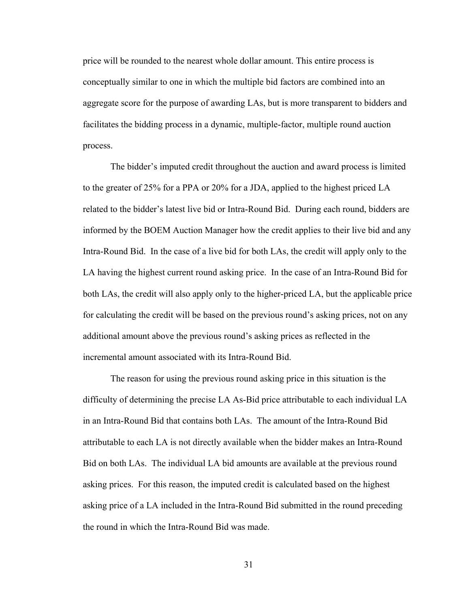price will be rounded to the nearest whole dollar amount. This entire process is conceptually similar to one in which the multiple bid factors are combined into an aggregate score for the purpose of awarding LAs, but is more transparent to bidders and facilitates the bidding process in a dynamic, multiple-factor, multiple round auction process.

The bidder's imputed credit throughout the auction and award process is limited to the greater of 25% for a PPA or 20% for a JDA, applied to the highest priced LA related to the bidder's latest live bid or Intra-Round Bid. During each round, bidders are informed by the BOEM Auction Manager how the credit applies to their live bid and any Intra-Round Bid. In the case of a live bid for both LAs, the credit will apply only to the LA having the highest current round asking price. In the case of an Intra-Round Bid for both LAs, the credit will also apply only to the higher-priced LA, but the applicable price for calculating the credit will be based on the previous round's asking prices, not on any additional amount above the previous round's asking prices as reflected in the incremental amount associated with its Intra-Round Bid.

The reason for using the previous round asking price in this situation is the difficulty of determining the precise LA As-Bid price attributable to each individual LA in an Intra-Round Bid that contains both LAs. The amount of the Intra-Round Bid attributable to each LA is not directly available when the bidder makes an Intra-Round Bid on both LAs. The individual LA bid amounts are available at the previous round asking prices. For this reason, the imputed credit is calculated based on the highest asking price of a LA included in the Intra-Round Bid submitted in the round preceding the round in which the Intra-Round Bid was made.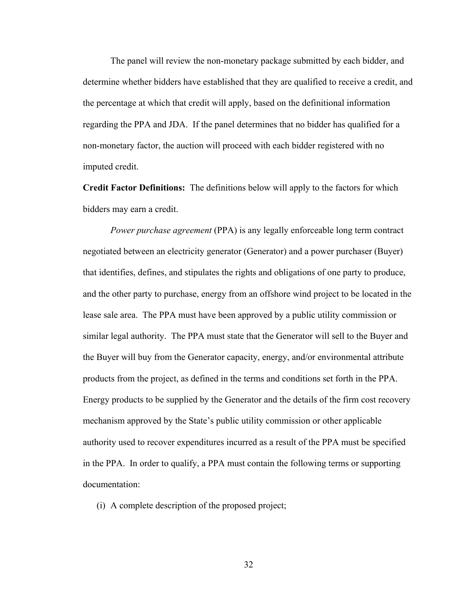The panel will review the non-monetary package submitted by each bidder, and determine whether bidders have established that they are qualified to receive a credit, and the percentage at which that credit will apply, based on the definitional information regarding the PPA and JDA. If the panel determines that no bidder has qualified for a non-monetary factor, the auction will proceed with each bidder registered with no imputed credit.

**Credit Factor Definitions:** The definitions below will apply to the factors for which bidders may earn a credit.

 *Power purchase agreement* (PPA) is any legally enforceable long term contract negotiated between an electricity generator (Generator) and a power purchaser (Buyer) that identifies, defines, and stipulates the rights and obligations of one party to produce, and the other party to purchase, energy from an offshore wind project to be located in the lease sale area. The PPA must have been approved by a public utility commission or similar legal authority. The PPA must state that the Generator will sell to the Buyer and the Buyer will buy from the Generator capacity, energy, and/or environmental attribute products from the project, as defined in the terms and conditions set forth in the PPA. Energy products to be supplied by the Generator and the details of the firm cost recovery mechanism approved by the State's public utility commission or other applicable authority used to recover expenditures incurred as a result of the PPA must be specified in the PPA. In order to qualify, a PPA must contain the following terms or supporting documentation:

(i) A complete description of the proposed project;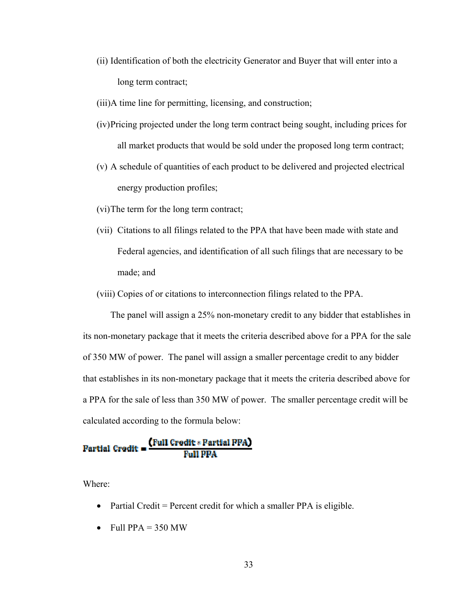- (ii) Identification of both the electricity Generator and Buyer that will enter into a long term contract;
- (iii)A time line for permitting, licensing, and construction;
- (iv)Pricing projected under the long term contract being sought, including prices for all market products that would be sold under the proposed long term contract;
- (v) A schedule of quantities of each product to be delivered and projected electrical energy production profiles;
- (vi)The term for the long term contract;
- (vii) Citations to all filings related to the PPA that have been made with state and Federal agencies, and identification of all such filings that are necessary to be made; and
- (viii) Copies of or citations to interconnection filings related to the PPA.

The panel will assign a 25% non-monetary credit to any bidder that establishes in its non-monetary package that it meets the criteria described above for a PPA for the sale of 350 MW of power. The panel will assign a smaller percentage credit to any bidder that establishes in its non-monetary package that it meets the criteria described above for a PPA for the sale of less than 350 MW of power. The smaller percentage credit will be calculated according to the formula below:

# **Partial Credit =**  $\frac{\text{(Full Credit * Partial PPA)}}{\text{Full PPA}}$

Where:

- Partial Credit = Percent credit for which a smaller PPA is eligible.
- Full PPA =  $350$  MW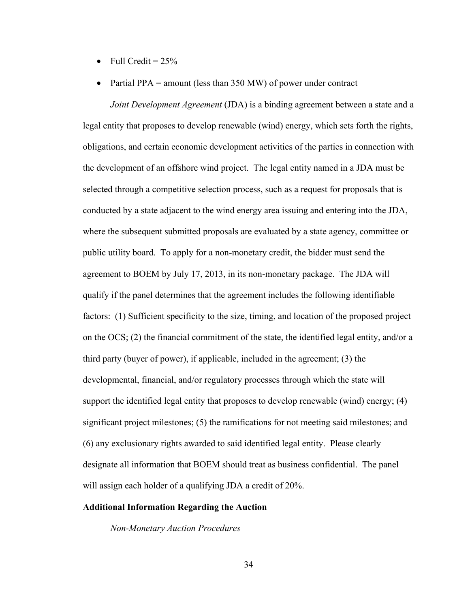- Full Credit =  $25\%$
- Partial PPA = amount (less than 350 MW) of power under contract

*Joint Development Agreement* (JDA) is a binding agreement between a state and a legal entity that proposes to develop renewable (wind) energy, which sets forth the rights, obligations, and certain economic development activities of the parties in connection with the development of an offshore wind project. The legal entity named in a JDA must be selected through a competitive selection process, such as a request for proposals that is conducted by a state adjacent to the wind energy area issuing and entering into the JDA, where the subsequent submitted proposals are evaluated by a state agency, committee or public utility board. To apply for a non-monetary credit, the bidder must send the agreement to BOEM by July 17, 2013, in its non-monetary package. The JDA will qualify if the panel determines that the agreement includes the following identifiable factors: (1) Sufficient specificity to the size, timing, and location of the proposed project on the OCS; (2) the financial commitment of the state, the identified legal entity, and/or a third party (buyer of power), if applicable, included in the agreement; (3) the developmental, financial, and/or regulatory processes through which the state will support the identified legal entity that proposes to develop renewable (wind) energy; (4) significant project milestones; (5) the ramifications for not meeting said milestones; and (6) any exclusionary rights awarded to said identified legal entity. Please clearly designate all information that BOEM should treat as business confidential. The panel will assign each holder of a qualifying JDA a credit of 20%.

# **Additional Information Regarding the Auction**

 *Non-Monetary Auction Procedures*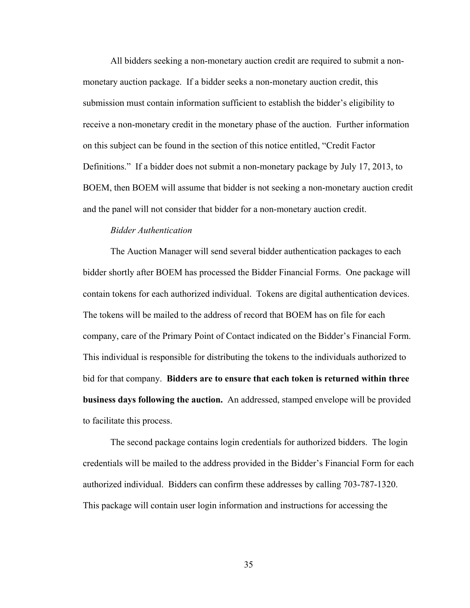All bidders seeking a non-monetary auction credit are required to submit a nonmonetary auction package. If a bidder seeks a non-monetary auction credit, this submission must contain information sufficient to establish the bidder's eligibility to receive a non-monetary credit in the monetary phase of the auction. Further information on this subject can be found in the section of this notice entitled, "Credit Factor Definitions." If a bidder does not submit a non-monetary package by July 17, 2013, to BOEM, then BOEM will assume that bidder is not seeking a non-monetary auction credit and the panel will not consider that bidder for a non-monetary auction credit.

# *Bidder Authentication*

 The Auction Manager will send several bidder authentication packages to each bidder shortly after BOEM has processed the Bidder Financial Forms. One package will contain tokens for each authorized individual. Tokens are digital authentication devices. The tokens will be mailed to the address of record that BOEM has on file for each company, care of the Primary Point of Contact indicated on the Bidder's Financial Form. This individual is responsible for distributing the tokens to the individuals authorized to bid for that company. **Bidders are to ensure that each token is returned within three business days following the auction.** An addressed, stamped envelope will be provided to facilitate this process.

The second package contains login credentials for authorized bidders. The login credentials will be mailed to the address provided in the Bidder's Financial Form for each authorized individual. Bidders can confirm these addresses by calling 703-787-1320. This package will contain user login information and instructions for accessing the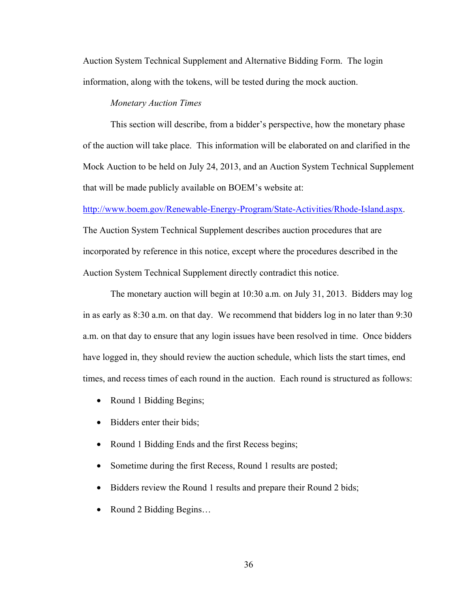Auction System Technical Supplement and Alternative Bidding Form. The login information, along with the tokens, will be tested during the mock auction.

#### *Monetary Auction Times*

This section will describe, from a bidder's perspective, how the monetary phase of the auction will take place. This information will be elaborated on and clarified in the Mock Auction to be held on July 24, 2013, and an Auction System Technical Supplement that will be made publicly available on BOEM's website at:

http://www.boem.gov/Renewable-Energy-Program/State-Activities/Rhode-Island.aspx.

The Auction System Technical Supplement describes auction procedures that are incorporated by reference in this notice, except where the procedures described in the Auction System Technical Supplement directly contradict this notice.

The monetary auction will begin at 10:30 a.m. on July 31, 2013. Bidders may log in as early as 8:30 a.m. on that day. We recommend that bidders log in no later than 9:30 a.m. on that day to ensure that any login issues have been resolved in time. Once bidders have logged in, they should review the auction schedule, which lists the start times, end times, and recess times of each round in the auction. Each round is structured as follows:

- Round 1 Bidding Begins;
- Bidders enter their bids;
- Round 1 Bidding Ends and the first Recess begins;
- Sometime during the first Recess, Round 1 results are posted;
- Bidders review the Round 1 results and prepare their Round 2 bids;
- Round 2 Bidding Begins...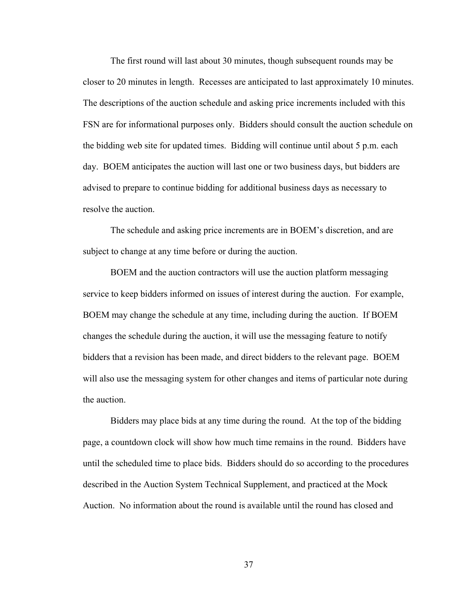The first round will last about 30 minutes, though subsequent rounds may be closer to 20 minutes in length. Recesses are anticipated to last approximately 10 minutes. The descriptions of the auction schedule and asking price increments included with this FSN are for informational purposes only. Bidders should consult the auction schedule on the bidding web site for updated times. Bidding will continue until about 5 p.m. each day. BOEM anticipates the auction will last one or two business days, but bidders are advised to prepare to continue bidding for additional business days as necessary to resolve the auction.

The schedule and asking price increments are in BOEM's discretion, and are subject to change at any time before or during the auction.

BOEM and the auction contractors will use the auction platform messaging service to keep bidders informed on issues of interest during the auction. For example, BOEM may change the schedule at any time, including during the auction. If BOEM changes the schedule during the auction, it will use the messaging feature to notify bidders that a revision has been made, and direct bidders to the relevant page. BOEM will also use the messaging system for other changes and items of particular note during the auction.

Bidders may place bids at any time during the round. At the top of the bidding page, a countdown clock will show how much time remains in the round. Bidders have until the scheduled time to place bids. Bidders should do so according to the procedures described in the Auction System Technical Supplement, and practiced at the Mock Auction. No information about the round is available until the round has closed and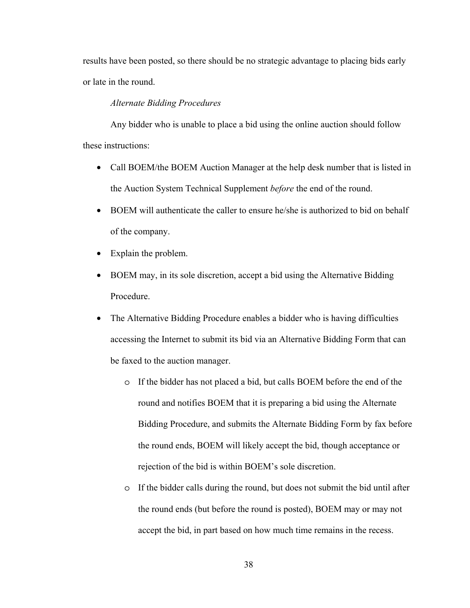results have been posted, so there should be no strategic advantage to placing bids early or late in the round.

# *Alternate Bidding Procedures*

Any bidder who is unable to place a bid using the online auction should follow these instructions:

- Call BOEM/the BOEM Auction Manager at the help desk number that is listed in the Auction System Technical Supplement *before* the end of the round.
- BOEM will authenticate the caller to ensure he/she is authorized to bid on behalf of the company.
- Explain the problem.
- BOEM may, in its sole discretion, accept a bid using the Alternative Bidding Procedure.
- The Alternative Bidding Procedure enables a bidder who is having difficulties accessing the Internet to submit its bid via an Alternative Bidding Form that can be faxed to the auction manager.
	- o If the bidder has not placed a bid, but calls BOEM before the end of the round and notifies BOEM that it is preparing a bid using the Alternate Bidding Procedure, and submits the Alternate Bidding Form by fax before the round ends, BOEM will likely accept the bid, though acceptance or rejection of the bid is within BOEM's sole discretion.
	- o If the bidder calls during the round, but does not submit the bid until after the round ends (but before the round is posted), BOEM may or may not accept the bid, in part based on how much time remains in the recess.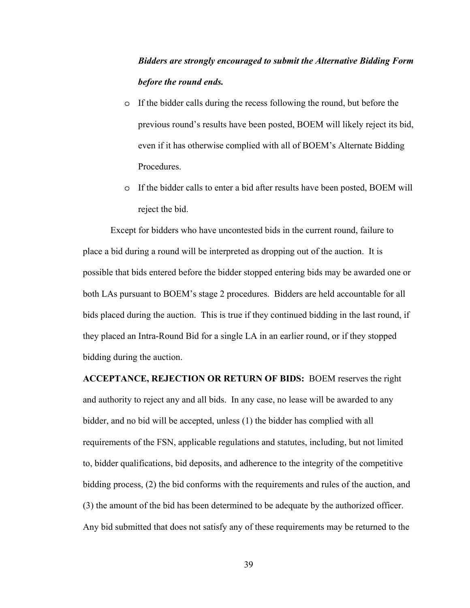# *Bidders are strongly encouraged to submit the Alternative Bidding Form before the round ends.*

- o If the bidder calls during the recess following the round, but before the previous round's results have been posted, BOEM will likely reject its bid, even if it has otherwise complied with all of BOEM's Alternate Bidding Procedures.
- o If the bidder calls to enter a bid after results have been posted, BOEM will reject the bid.

Except for bidders who have uncontested bids in the current round, failure to place a bid during a round will be interpreted as dropping out of the auction. It is possible that bids entered before the bidder stopped entering bids may be awarded one or both LAs pursuant to BOEM's stage 2 procedures. Bidders are held accountable for all bids placed during the auction. This is true if they continued bidding in the last round, if they placed an Intra-Round Bid for a single LA in an earlier round, or if they stopped bidding during the auction.

**ACCEPTANCE, REJECTION OR RETURN OF BIDS:** BOEM reserves the right and authority to reject any and all bids. In any case, no lease will be awarded to any bidder, and no bid will be accepted, unless (1) the bidder has complied with all requirements of the FSN, applicable regulations and statutes, including, but not limited to, bidder qualifications, bid deposits, and adherence to the integrity of the competitive bidding process, (2) the bid conforms with the requirements and rules of the auction, and (3) the amount of the bid has been determined to be adequate by the authorized officer. Any bid submitted that does not satisfy any of these requirements may be returned to the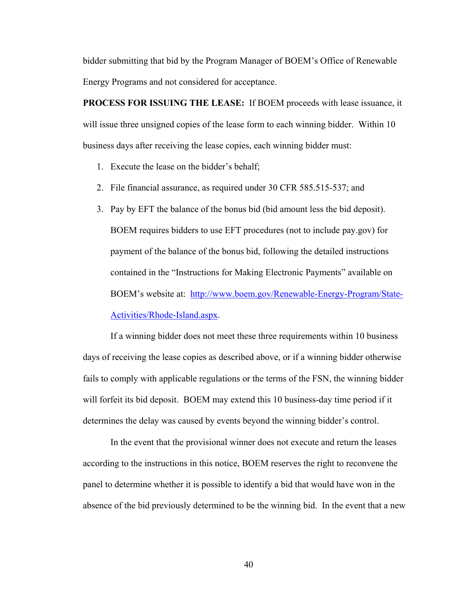bidder submitting that bid by the Program Manager of BOEM's Office of Renewable Energy Programs and not considered for acceptance.

**PROCESS FOR ISSUING THE LEASE:** If BOEM proceeds with lease issuance, it will issue three unsigned copies of the lease form to each winning bidder. Within 10 business days after receiving the lease copies, each winning bidder must:

- 1. Execute the lease on the bidder's behalf;
- 2. File financial assurance, as required under 30 CFR 585.515-537; and
- 3. Pay by EFT the balance of the bonus bid (bid amount less the bid deposit). BOEM requires bidders to use EFT procedures (not to include pay.gov) for payment of the balance of the bonus bid, following the detailed instructions contained in the "Instructions for Making Electronic Payments" available on BOEM's website at: http://www.boem.gov/Renewable-Energy-Program/State-Activities/Rhode-Island.aspx.

If a winning bidder does not meet these three requirements within 10 business days of receiving the lease copies as described above, or if a winning bidder otherwise fails to comply with applicable regulations or the terms of the FSN, the winning bidder will forfeit its bid deposit. BOEM may extend this 10 business-day time period if it determines the delay was caused by events beyond the winning bidder's control.

In the event that the provisional winner does not execute and return the leases according to the instructions in this notice, BOEM reserves the right to reconvene the panel to determine whether it is possible to identify a bid that would have won in the absence of the bid previously determined to be the winning bid. In the event that a new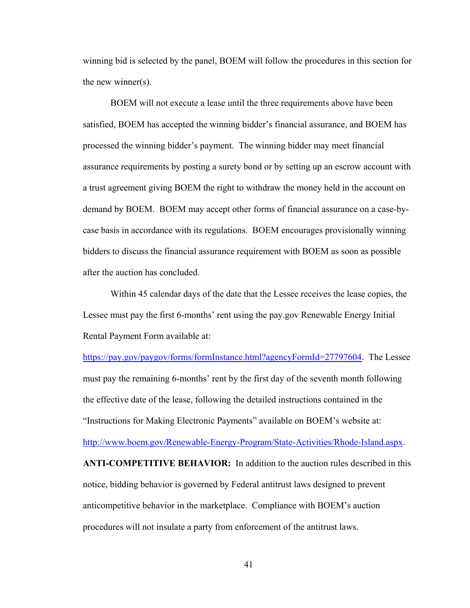winning bid is selected by the panel, BOEM will follow the procedures in this section for the new winner(s).

BOEM will not execute a lease until the three requirements above have been satisfied, BOEM has accepted the winning bidder's financial assurance, and BOEM has processed the winning bidder's payment. The winning bidder may meet financial assurance requirements by posting a surety bond or by setting up an escrow account with a trust agreement giving BOEM the right to withdraw the money held in the account on demand by BOEM. BOEM may accept other forms of financial assurance on a case-bycase basis in accordance with its regulations. BOEM encourages provisionally winning bidders to discuss the financial assurance requirement with BOEM as soon as possible after the auction has concluded.

Within 45 calendar days of the date that the Lessee receives the lease copies, the Lessee must pay the first 6-months' rent using the pay.gov Renewable Energy Initial Rental Payment Form available at:

https://pay.gov/paygov/forms/formInstance.html?agencyFormId=27797604. The Lessee must pay the remaining 6-months' rent by the first day of the seventh month following the effective date of the lease, following the detailed instructions contained in the "Instructions for Making Electronic Payments" available on BOEM's website at: http://www.boem.gov/Renewable-Energy-Program/State-Activities/Rhode-Island.aspx. **ANTI-COMPETITIVE BEHAVIOR:** In addition to the auction rules described in this notice, bidding behavior is governed by Federal antitrust laws designed to prevent anticompetitive behavior in the marketplace. Compliance with BOEM's auction procedures will not insulate a party from enforcement of the antitrust laws.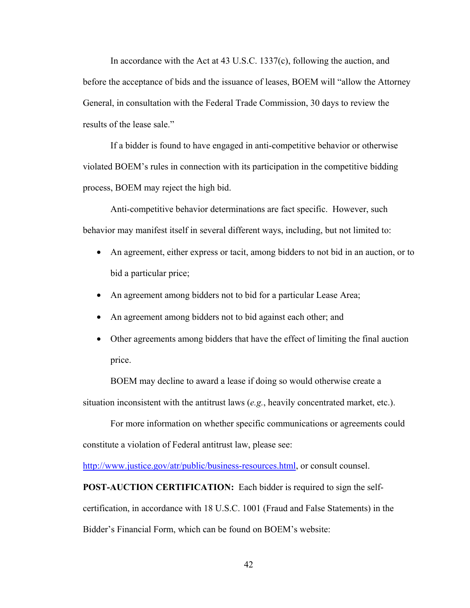In accordance with the Act at 43 U.S.C. 1337(c), following the auction, and before the acceptance of bids and the issuance of leases, BOEM will "allow the Attorney General, in consultation with the Federal Trade Commission, 30 days to review the results of the lease sale."

If a bidder is found to have engaged in anti-competitive behavior or otherwise violated BOEM's rules in connection with its participation in the competitive bidding process, BOEM may reject the high bid.

Anti-competitive behavior determinations are fact specific. However, such behavior may manifest itself in several different ways, including, but not limited to:

- An agreement, either express or tacit, among bidders to not bid in an auction, or to bid a particular price;
- An agreement among bidders not to bid for a particular Lease Area;
- An agreement among bidders not to bid against each other; and
- Other agreements among bidders that have the effect of limiting the final auction price.

BOEM may decline to award a lease if doing so would otherwise create a situation inconsistent with the antitrust laws (*e.g.*, heavily concentrated market, etc.).

For more information on whether specific communications or agreements could constitute a violation of Federal antitrust law, please see:

http://www.justice.gov/atr/public/business-resources.html, or consult counsel.

**POST-AUCTION CERTIFICATION:** Each bidder is required to sign the selfcertification, in accordance with 18 U.S.C. 1001 (Fraud and False Statements) in the Bidder's Financial Form, which can be found on BOEM's website: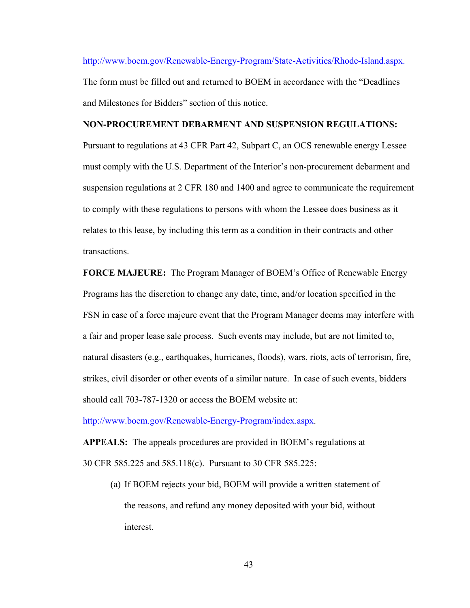http://www.boem.gov/Renewable-Energy-Program/State-Activities/Rhode-Island.aspx. The form must be filled out and returned to BOEM in accordance with the "Deadlines and Milestones for Bidders" section of this notice.

## **NON-PROCUREMENT DEBARMENT AND SUSPENSION REGULATIONS:**

Pursuant to regulations at 43 CFR Part 42, Subpart C, an OCS renewable energy Lessee must comply with the U.S. Department of the Interior's non-procurement debarment and suspension regulations at 2 CFR 180 and 1400 and agree to communicate the requirement to comply with these regulations to persons with whom the Lessee does business as it relates to this lease, by including this term as a condition in their contracts and other transactions.

**FORCE MAJEURE:** The Program Manager of BOEM's Office of Renewable Energy Programs has the discretion to change any date, time, and/or location specified in the FSN in case of a force majeure event that the Program Manager deems may interfere with a fair and proper lease sale process. Such events may include, but are not limited to, natural disasters (e.g., earthquakes, hurricanes, floods), wars, riots, acts of terrorism, fire, strikes, civil disorder or other events of a similar nature. In case of such events, bidders should call 703-787-1320 or access the BOEM website at:

http://www.boem.gov/Renewable-Energy-Program/index.aspx.

**APPEALS:** The appeals procedures are provided in BOEM's regulations at 30 CFR 585.225 and 585.118(c). Pursuant to 30 CFR 585.225:

(a) If BOEM rejects your bid, BOEM will provide a written statement of the reasons, and refund any money deposited with your bid, without interest.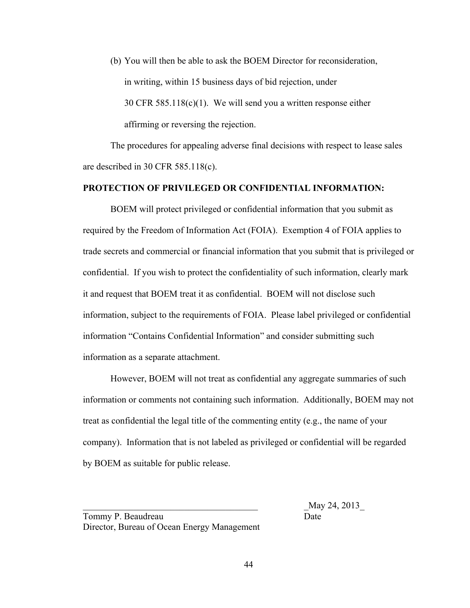(b) You will then be able to ask the BOEM Director for reconsideration, in writing, within 15 business days of bid rejection, under 30 CFR 585.118(c)(1). We will send you a written response either affirming or reversing the rejection.

The procedures for appealing adverse final decisions with respect to lease sales are described in 30 CFR 585.118(c).

# **PROTECTION OF PRIVILEGED OR CONFIDENTIAL INFORMATION:**

BOEM will protect privileged or confidential information that you submit as required by the Freedom of Information Act (FOIA). Exemption 4 of FOIA applies to trade secrets and commercial or financial information that you submit that is privileged or confidential. If you wish to protect the confidentiality of such information, clearly mark it and request that BOEM treat it as confidential. BOEM will not disclose such information, subject to the requirements of FOIA. Please label privileged or confidential information "Contains Confidential Information" and consider submitting such information as a separate attachment.

However, BOEM will not treat as confidential any aggregate summaries of such information or comments not containing such information. Additionally, BOEM may not treat as confidential the legal title of the commenting entity (e.g., the name of your company). Information that is not labeled as privileged or confidential will be regarded by BOEM as suitable for public release.

\_\_\_\_\_\_\_\_\_\_\_\_\_\_\_\_\_\_\_\_\_\_\_\_\_\_\_\_\_\_\_\_\_\_\_\_\_\_ \_May 24, 2013\_

Tommy P. Beaudreau Date Director, Bureau of Ocean Energy Management